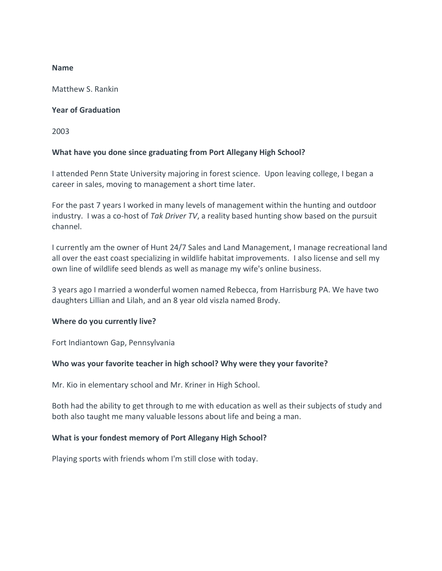## **Name**

Matthew S. Rankin

# **Year of Graduation**

2003

# **What have you done since graduating from Port Allegany High School?**

I attended Penn State University majoring in forest science. Upon leaving college, I began a career in sales, moving to management a short time later.

For the past 7 years I worked in many levels of management within the hunting and outdoor industry. I was a co-host of *Tak Driver TV*, a reality based hunting show based on the pursuit channel.

I currently am the owner of Hunt 24/7 Sales and Land Management, I manage recreational land all over the east coast specializing in wildlife habitat improvements. I also license and sell my own line of wildlife seed blends as well as manage my wife's online business.

3 years ago I married a wonderful women named Rebecca, from Harrisburg PA. We have two daughters Lillian and Lilah, and an 8 year old viszla named Brody.

# **Where do you currently live?**

Fort Indiantown Gap, Pennsylvania

# **Who was your favorite teacher in high school? Why were they your favorite?**

Mr. Kio in elementary school and Mr. Kriner in High School.

Both had the ability to get through to me with education as well as their subjects of study and both also taught me many valuable lessons about life and being a man.

# **What is your fondest memory of Port Allegany High School?**

Playing sports with friends whom I'm still close with today.